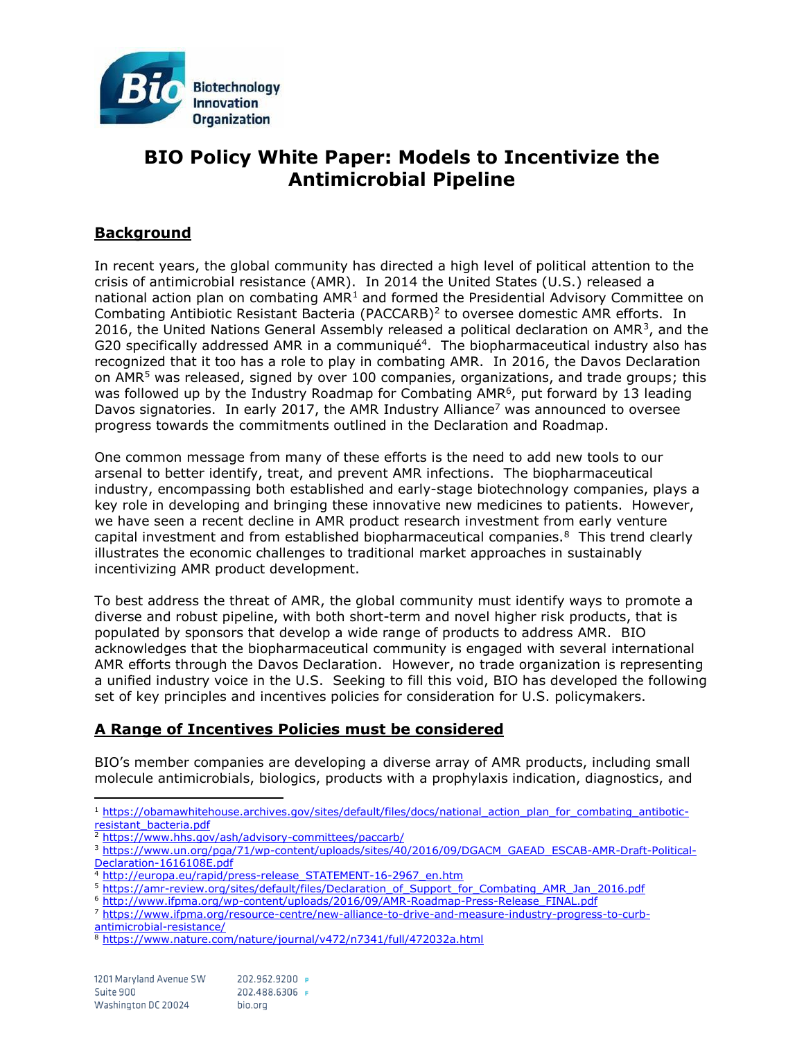

# **BIO Policy White Paper: Models to Incentivize the Antimicrobial Pipeline**

# **Background**

In recent years, the global community has directed a high level of political attention to the crisis of antimicrobial resistance (AMR). In 2014 the United States (U.S.) released a national action plan on combating  $AMR<sup>1</sup>$  and formed the Presidential Advisory Committee on Combating Antibiotic Resistant Bacteria (PACCARB)<sup>2</sup> to oversee domestic AMR efforts. In 2016, the United Nations General Assembly released a political declaration on AMR<sup>3</sup>, and the G20 specifically addressed AMR in a communiqué<sup>4</sup>. The biopharmaceutical industry also has recognized that it too has a role to play in combating AMR. In 2016, the Davos Declaration on AMR<sup>5</sup> was released, signed by over 100 companies, organizations, and trade groups; this was followed up by the Industry Roadmap for Combating AMR<sup>6</sup>, put forward by 13 leading Davos signatories. In early 2017, the AMR Industry Alliance<sup>7</sup> was announced to oversee progress towards the commitments outlined in the Declaration and Roadmap.

One common message from many of these efforts is the need to add new tools to our arsenal to better identify, treat, and prevent AMR infections. The biopharmaceutical industry, encompassing both established and early-stage biotechnology companies, plays a key role in developing and bringing these innovative new medicines to patients. However, we have seen a recent decline in AMR product research investment from early venture capital investment and from established biopharmaceutical companies. $8$  This trend clearly illustrates the economic challenges to traditional market approaches in sustainably incentivizing AMR product development.

To best address the threat of AMR, the global community must identify ways to promote a diverse and robust pipeline, with both short-term and novel higher risk products, that is populated by sponsors that develop a wide range of products to address AMR. BIO acknowledges that the biopharmaceutical community is engaged with several international AMR efforts through the Davos Declaration. However, no trade organization is representing a unified industry voice in the U.S. Seeking to fill this void, BIO has developed the following set of key principles and incentives policies for consideration for U.S. policymakers.

# **A Range of Incentives Policies must be considered**

BIO's member companies are developing a diverse array of AMR products, including small molecule antimicrobials, biologics, products with a prophylaxis indication, diagnostics, and

 $\overline{a}$ <sup>1</sup> [https://obamawhitehouse.archives.gov/sites/default/files/docs/national\\_action\\_plan\\_for\\_combating\\_antibotic](https://obamawhitehouse.archives.gov/sites/default/files/docs/national_action_plan_for_combating_antibotic-resistant_bacteria.pdf)[resistant\\_bacteria.pdf](https://obamawhitehouse.archives.gov/sites/default/files/docs/national_action_plan_for_combating_antibotic-resistant_bacteria.pdf)

<sup>2</sup> <https://www.hhs.gov/ash/advisory-committees/paccarb/>

<sup>6</sup> [http://www.ifpma.org/wp-content/uploads/2016/09/AMR-Roadmap-Press-Release\\_FINAL.pdf](http://www.ifpma.org/wp-content/uploads/2016/09/AMR-Roadmap-Press-Release_FINAL.pdf)

<sup>3</sup> [https://www.un.org/pga/71/wp-content/uploads/sites/40/2016/09/DGACM\\_GAEAD\\_ESCAB-AMR-Draft-Political-](https://www.un.org/pga/71/wp-content/uploads/sites/40/2016/09/DGACM_GAEAD_ESCAB-AMR-Draft-Political-Declaration-1616108E.pdf)[Declaration-1616108E.pdf](https://www.un.org/pga/71/wp-content/uploads/sites/40/2016/09/DGACM_GAEAD_ESCAB-AMR-Draft-Political-Declaration-1616108E.pdf)

<sup>4</sup> [http://europa.eu/rapid/press-release\\_STATEMENT-16-2967\\_en.htm](http://europa.eu/rapid/press-release_STATEMENT-16-2967_en.htm)

<sup>5</sup> [https://amr-review.org/sites/default/files/Declaration\\_of\\_Support\\_for\\_Combating\\_AMR\\_Jan\\_2016.pdf](https://amr-review.org/sites/default/files/Declaration_of_Support_for_Combating_AMR_Jan_2016.pdf)

<sup>7</sup> [https://www.ifpma.org/resource-centre/new-alliance-to-drive-and-measure-industry-progress-to-curb](https://www.ifpma.org/resource-centre/new-alliance-to-drive-and-measure-industry-progress-to-curb-antimicrobial-resistance/)[antimicrobial-resistance/](https://www.ifpma.org/resource-centre/new-alliance-to-drive-and-measure-industry-progress-to-curb-antimicrobial-resistance/)

<sup>8</sup> <https://www.nature.com/nature/journal/v472/n7341/full/472032a.html>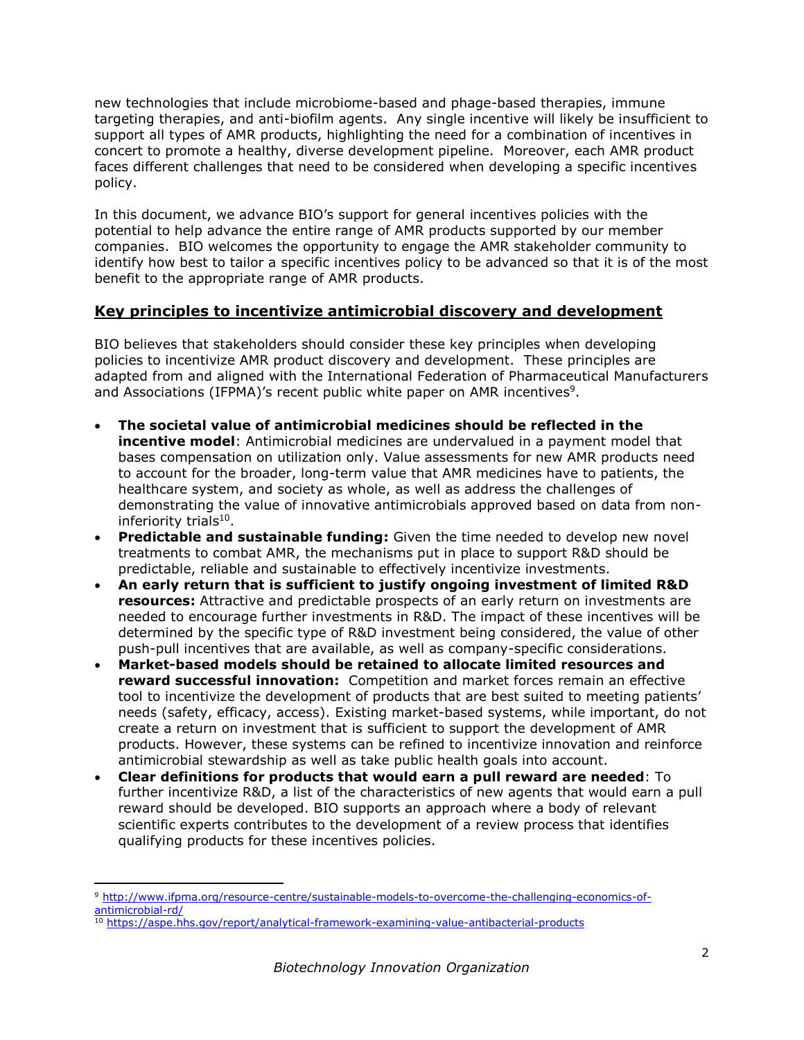new technologies that include microbiome-based and phage-based therapies, immune targeting therapies, and anti-biofilm agents. Any single incentive will likely be insufficient to support all types of AMR products, highlighting the need for a combination of incentives in concert to promote a healthy, diverse development pipeline. Moreover, each AMR product faces different challenges that need to be considered when developing a specific incentives policy.

In this document, we advance BIO's support for general incentives policies with the potential to help advance the entire range of AMR products supported by our member companies. BIO welcomes the opportunity to engage the AMR stakeholder community to identify how best to tailor a specific incentives policy to be advanced so that it is of the most benefit to the appropriate range of AMR products.

# **Key principles to incentivize antimicrobial discovery and development**

BIO believes that stakeholders should consider these key principles when developing policies to incentivize AMR product discovery and development. These principles are adapted from and aligned with the International Federation of Pharmaceutical Manufacturers and Associations (IFPMA)'s recent public white paper on AMR incentives<sup>9</sup>.

- **The societal value of antimicrobial medicines should be reflected in the incentive model**: Antimicrobial medicines are undervalued in a payment model that bases compensation on utilization only. Value assessments for new AMR products need to account for the broader, long-term value that AMR medicines have to patients, the healthcare system, and society as whole, as well as address the challenges of demonstrating the value of innovative antimicrobials approved based on data from noninferiority trials<sup>10</sup>.
- **Predictable and sustainable funding:** Given the time needed to develop new novel treatments to combat AMR, the mechanisms put in place to support R&D should be predictable, reliable and sustainable to effectively incentivize investments.
- **An early return that is sufficient to justify ongoing investment of limited R&D resources:** Attractive and predictable prospects of an early return on investments are needed to encourage further investments in R&D. The impact of these incentives will be determined by the specific type of R&D investment being considered, the value of other push-pull incentives that are available, as well as company-specific considerations.
- **Market-based models should be retained to allocate limited resources and reward successful innovation:** Competition and market forces remain an effective tool to incentivize the development of products that are best suited to meeting patients' needs (safety, efficacy, access). Existing market-based systems, while important, do not create a return on investment that is sufficient to support the development of AMR products. However, these systems can be refined to incentivize innovation and reinforce antimicrobial stewardship as well as take public health goals into account.
- **Clear definitions for products that would earn a pull reward are needed**: To further incentivize R&D, a list of the characteristics of new agents that would earn a pull reward should be developed. BIO supports an approach where a body of relevant scientific experts contributes to the development of a review process that identifies qualifying products for these incentives policies.

 $\overline{\phantom{a}}$ 

<sup>9</sup> [http://www.ifpma.org/resource-centre/sustainable-models-to-overcome-the-challenging-economics-of](http://www.ifpma.org/resource-centre/sustainable-models-to-overcome-the-challenging-economics-of-antimicrobial-rd/)[antimicrobial-rd/](http://www.ifpma.org/resource-centre/sustainable-models-to-overcome-the-challenging-economics-of-antimicrobial-rd/)

<sup>10</sup> <https://aspe.hhs.gov/report/analytical-framework-examining-value-antibacterial-products>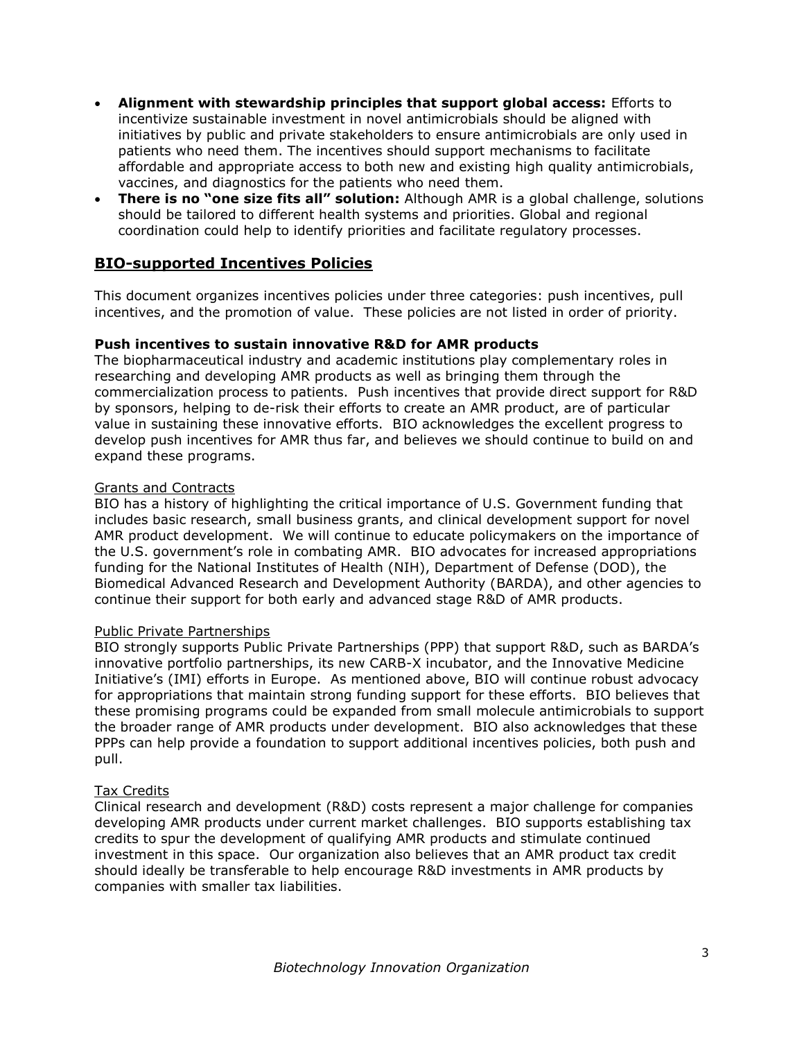- **Alignment with stewardship principles that support global access:** Efforts to incentivize sustainable investment in novel antimicrobials should be aligned with initiatives by public and private stakeholders to ensure antimicrobials are only used in patients who need them. The incentives should support mechanisms to facilitate affordable and appropriate access to both new and existing high quality antimicrobials, vaccines, and diagnostics for the patients who need them.
- **There is no "one size fits all" solution:** Although AMR is a global challenge, solutions should be tailored to different health systems and priorities. Global and regional coordination could help to identify priorities and facilitate regulatory processes.

# **BIO-supported Incentives Policies**

This document organizes incentives policies under three categories: push incentives, pull incentives, and the promotion of value. These policies are not listed in order of priority.

### **Push incentives to sustain innovative R&D for AMR products**

The biopharmaceutical industry and academic institutions play complementary roles in researching and developing AMR products as well as bringing them through the commercialization process to patients. Push incentives that provide direct support for R&D by sponsors, helping to de-risk their efforts to create an AMR product, are of particular value in sustaining these innovative efforts. BIO acknowledges the excellent progress to develop push incentives for AMR thus far, and believes we should continue to build on and expand these programs.

# Grants and Contracts

BIO has a history of highlighting the critical importance of U.S. Government funding that includes basic research, small business grants, and clinical development support for novel AMR product development. We will continue to educate policymakers on the importance of the U.S. government's role in combating AMR. BIO advocates for increased appropriations funding for the National Institutes of Health (NIH), Department of Defense (DOD), the Biomedical Advanced Research and Development Authority (BARDA), and other agencies to continue their support for both early and advanced stage R&D of AMR products.

### Public Private Partnerships

BIO strongly supports Public Private Partnerships (PPP) that support R&D, such as BARDA's innovative portfolio partnerships, its new CARB-X incubator, and the Innovative Medicine Initiative's (IMI) efforts in Europe. As mentioned above, BIO will continue robust advocacy for appropriations that maintain strong funding support for these efforts. BIO believes that these promising programs could be expanded from small molecule antimicrobials to support the broader range of AMR products under development. BIO also acknowledges that these PPPs can help provide a foundation to support additional incentives policies, both push and pull.

### Tax Credits

Clinical research and development (R&D) costs represent a major challenge for companies developing AMR products under current market challenges. BIO supports establishing tax credits to spur the development of qualifying AMR products and stimulate continued investment in this space. Our organization also believes that an AMR product tax credit should ideally be transferable to help encourage R&D investments in AMR products by companies with smaller tax liabilities.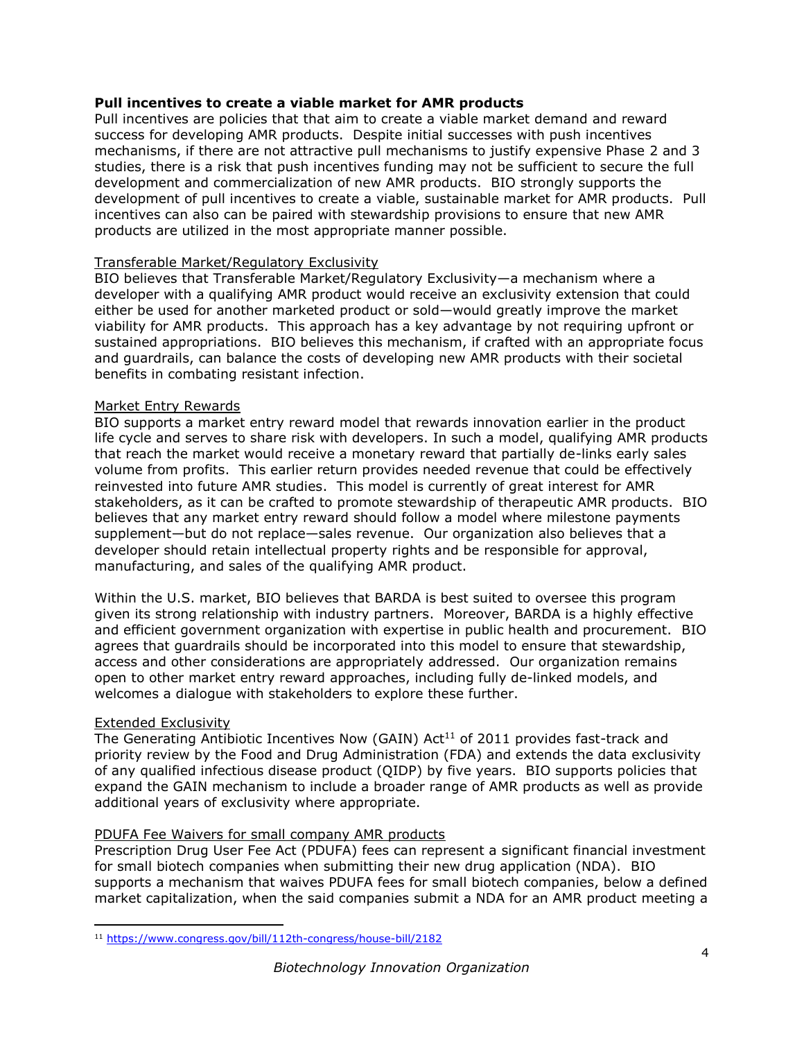# **Pull incentives to create a viable market for AMR products**

Pull incentives are policies that that aim to create a viable market demand and reward success for developing AMR products. Despite initial successes with push incentives mechanisms, if there are not attractive pull mechanisms to justify expensive Phase 2 and 3 studies, there is a risk that push incentives funding may not be sufficient to secure the full development and commercialization of new AMR products. BIO strongly supports the development of pull incentives to create a viable, sustainable market for AMR products. Pull incentives can also can be paired with stewardship provisions to ensure that new AMR products are utilized in the most appropriate manner possible.

# Transferable Market/Regulatory Exclusivity

BIO believes that Transferable Market/Regulatory Exclusivity—a mechanism where a developer with a qualifying AMR product would receive an exclusivity extension that could either be used for another marketed product or sold—would greatly improve the market viability for AMR products. This approach has a key advantage by not requiring upfront or sustained appropriations. BIO believes this mechanism, if crafted with an appropriate focus and guardrails, can balance the costs of developing new AMR products with their societal benefits in combating resistant infection.

# Market Entry Rewards

BIO supports a market entry reward model that rewards innovation earlier in the product life cycle and serves to share risk with developers. In such a model, qualifying AMR products that reach the market would receive a monetary reward that partially de-links early sales volume from profits. This earlier return provides needed revenue that could be effectively reinvested into future AMR studies. This model is currently of great interest for AMR stakeholders, as it can be crafted to promote stewardship of therapeutic AMR products. BIO believes that any market entry reward should follow a model where milestone payments supplement—but do not replace—sales revenue. Our organization also believes that a developer should retain intellectual property rights and be responsible for approval, manufacturing, and sales of the qualifying AMR product.

Within the U.S. market, BIO believes that BARDA is best suited to oversee this program given its strong relationship with industry partners. Moreover, BARDA is a highly effective and efficient government organization with expertise in public health and procurement. BIO agrees that guardrails should be incorporated into this model to ensure that stewardship, access and other considerations are appropriately addressed. Our organization remains open to other market entry reward approaches, including fully de-linked models, and welcomes a dialogue with stakeholders to explore these further.

### Extended Exclusivity

 $\overline{a}$ 

The Generating Antibiotic Incentives Now (GAIN) Act<sup>11</sup> of 2011 provides fast-track and priority review by the Food and Drug Administration (FDA) and extends the data exclusivity of any qualified infectious disease product (QIDP) by five years. BIO supports policies that expand the GAIN mechanism to include a broader range of AMR products as well as provide additional years of exclusivity where appropriate.

# PDUFA Fee Waivers for small company AMR products

Prescription Drug User Fee Act (PDUFA) fees can represent a significant financial investment for small biotech companies when submitting their new drug application (NDA). BIO supports a mechanism that waives PDUFA fees for small biotech companies, below a defined market capitalization, when the said companies submit a NDA for an AMR product meeting a

<sup>11</sup> <https://www.congress.gov/bill/112th-congress/house-bill/2182>